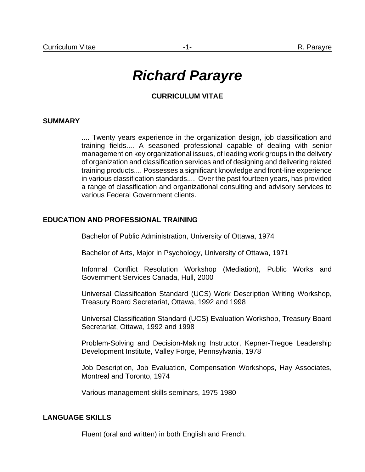# *Richard Parayre*

# **CURRICULUM VITAE**

#### **SUMMARY**

.... Twenty years experience in the organization design, job classification and training fields.... A seasoned professional capable of dealing with senior management on key organizational issues, of leading work groups in the delivery of organization and classification services and of designing and delivering related training products.... Possesses a significant knowledge and front-line experience in various classification standards.... Over the past fourteen years, has provided a range of classification and organizational consulting and advisory services to various Federal Government clients.

#### **EDUCATION AND PROFESSIONAL TRAINING**

Bachelor of Public Administration, University of Ottawa, 1974

Bachelor of Arts, Major in Psychology, University of Ottawa, 1971

Informal Conflict Resolution Workshop (Mediation), Public Works and Government Services Canada, Hull, 2000

Universal Classification Standard (UCS) Work Description Writing Workshop, Treasury Board Secretariat, Ottawa, 1992 and 1998

Universal Classification Standard (UCS) Evaluation Workshop, Treasury Board Secretariat, Ottawa, 1992 and 1998

Problem-Solving and Decision-Making Instructor, Kepner-Tregoe Leadership Development Institute, Valley Forge, Pennsylvania, 1978

Job Description, Job Evaluation, Compensation Workshops, Hay Associates, Montreal and Toronto, 1974

Various management skills seminars, 1975-1980

# **LANGUAGE SKILLS**

Fluent (oral and written) in both English and French.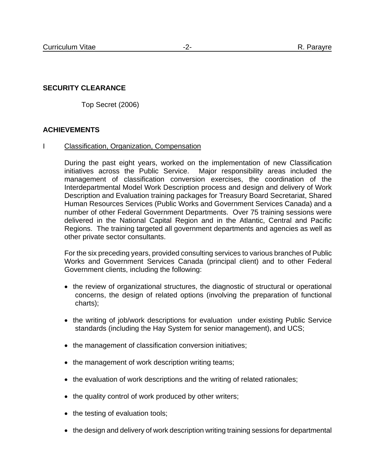# **SECURITY CLEARANCE**

Top Secret (2006)

# **ACHIEVEMENTS**

#### I Classification, Organization, Compensation

During the past eight years, worked on the implementation of new Classification initiatives across the Public Service. Major responsibility areas included the management of classification conversion exercises, the coordination of the Interdepartmental Model Work Description process and design and delivery of Work Description and Evaluation training packages for Treasury Board Secretariat, Shared Human Resources Services (Public Works and Government Services Canada) and a number of other Federal Government Departments. Over 75 training sessions were delivered in the National Capital Region and in the Atlantic, Central and Pacific Regions. The training targeted all government departments and agencies as well as other private sector consultants.

For the six preceding years, provided consulting services to various branches of Public Works and Government Services Canada (principal client) and to other Federal Government clients, including the following:

- the review of organizational structures, the diagnostic of structural or operational concerns, the design of related options (involving the preparation of functional charts);
- the writing of job/work descriptions for evaluation under existing Public Service standards (including the Hay System for senior management), and UCS;
- the management of classification conversion initiatives;
- the management of work description writing teams;
- the evaluation of work descriptions and the writing of related rationales;
- the quality control of work produced by other writers;
- the testing of evaluation tools;
- the design and delivery of work description writing training sessions for departmental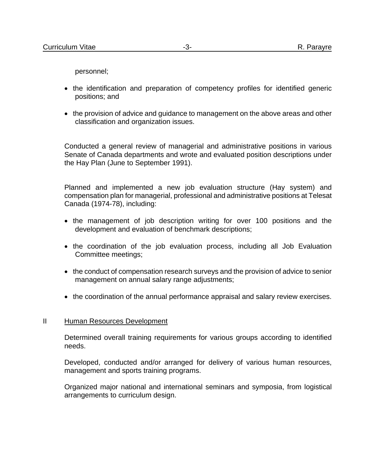personnel;

- the identification and preparation of competency profiles for identified generic positions; and
- the provision of advice and guidance to management on the above areas and other classification and organization issues.

Conducted a general review of managerial and administrative positions in various Senate of Canada departments and wrote and evaluated position descriptions under the Hay Plan (June to September 1991).

Planned and implemented a new job evaluation structure (Hay system) and compensation plan for managerial, professional and administrative positions at Telesat Canada (1974-78), including:

- the management of job description writing for over 100 positions and the development and evaluation of benchmark descriptions;
- the coordination of the job evaluation process, including all Job Evaluation Committee meetings;
- the conduct of compensation research surveys and the provision of advice to senior management on annual salary range adjustments;
- the coordination of the annual performance appraisal and salary review exercises.

#### II Human Resources Development

Determined overall training requirements for various groups according to identified needs.

Developed, conducted and/or arranged for delivery of various human resources, management and sports training programs.

Organized major national and international seminars and symposia, from logistical arrangements to curriculum design.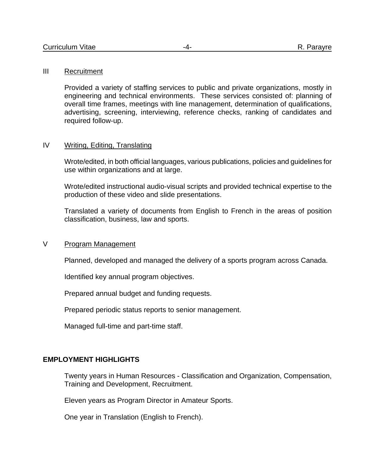#### III Recruitment

Provided a variety of staffing services to public and private organizations, mostly in engineering and technical environments. These services consisted of: planning of overall time frames, meetings with line management, determination of qualifications, advertising, screening, interviewing, reference checks, ranking of candidates and required follow-up.

# IV Writing, Editing, Translating

Wrote/edited, in both official languages, various publications, policies and guidelines for use within organizations and at large.

Wrote/edited instructional audio-visual scripts and provided technical expertise to the production of these video and slide presentations.

Translated a variety of documents from English to French in the areas of position classification, business, law and sports.

### V Program Management

Planned, developed and managed the delivery of a sports program across Canada.

Identified key annual program objectives.

Prepared annual budget and funding requests.

Prepared periodic status reports to senior management.

Managed full-time and part-time staff.

#### **EMPLOYMENT HIGHLIGHTS**

Twenty years in Human Resources - Classification and Organization, Compensation, Training and Development, Recruitment.

Eleven years as Program Director in Amateur Sports.

One year in Translation (English to French).